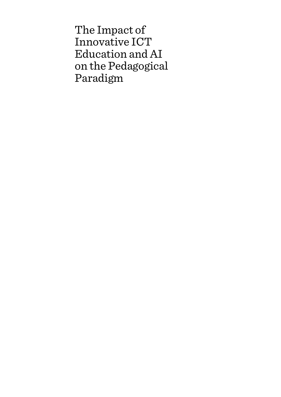The Impact of Innovative ICT Education and AI on the Pedagogical Paradigm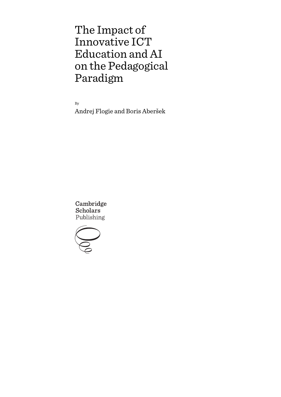# The Impact of Innovative ICT Education and AI on the Pedagogical Paradigm

By

Andrej Flogie and Boris Aberšek

Cambridge **Scholars** Publishing

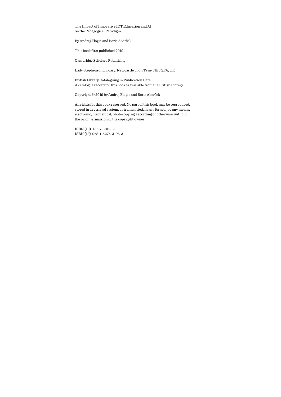The Impact of Innovative ICT Education and AI on the Pedagogical Paradigm

By Andrej Flogie and Boris Aberšek

This book first published 2019

Cambridge Scholars Publishing

Lady Stephenson Library, Newcastle upon Tyne, NE6 2PA, UK

British Library Cataloguing in Publication Data A catalogue record for this book is available from the British Library

Copyright © 2019 by Andrej Flogie and Boris Aberšek

All rights for this book reserved. No part of this book may be reproduced, stored in a retrieval system, or transmitted, in any form or by any means, electronic, mechanical, photocopying, recording or otherwise, without the prior permission of the copyright owner.

ISBN (10): 1-5275-3196-1 ISBN (13): 978-1-5275-3196-3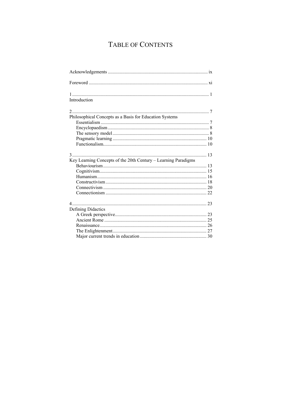## TABLE OF CONTENTS

| Introduction                                                   |  |
|----------------------------------------------------------------|--|
|                                                                |  |
| Philosophical Concepts as a Basis for Education Systems        |  |
|                                                                |  |
|                                                                |  |
|                                                                |  |
| Key Learning Concepts of the 20th Century - Learning Paradigms |  |
|                                                                |  |
|                                                                |  |
|                                                                |  |
|                                                                |  |
|                                                                |  |
|                                                                |  |
|                                                                |  |
| Defining Didactics                                             |  |
|                                                                |  |
|                                                                |  |
|                                                                |  |
|                                                                |  |
|                                                                |  |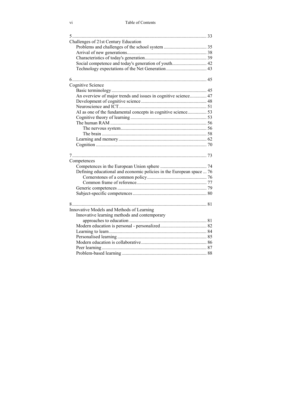| Challenges of 21st Century Education                                 |  |
|----------------------------------------------------------------------|--|
|                                                                      |  |
|                                                                      |  |
|                                                                      |  |
| Social competence and today's generation of youth 42                 |  |
|                                                                      |  |
|                                                                      |  |
|                                                                      |  |
| <b>Cognitive Science</b>                                             |  |
|                                                                      |  |
| An overview of major trends and issues in cognitive science 47       |  |
|                                                                      |  |
|                                                                      |  |
|                                                                      |  |
|                                                                      |  |
|                                                                      |  |
|                                                                      |  |
|                                                                      |  |
|                                                                      |  |
|                                                                      |  |
|                                                                      |  |
|                                                                      |  |
| Competences                                                          |  |
|                                                                      |  |
| Defining educational and economic policies in the European space  76 |  |
|                                                                      |  |
|                                                                      |  |
|                                                                      |  |
|                                                                      |  |
|                                                                      |  |
|                                                                      |  |
| Innovative Models and Methods of Learning                            |  |
| Innovative learning methods and contemporary                         |  |
|                                                                      |  |
|                                                                      |  |
|                                                                      |  |
|                                                                      |  |
|                                                                      |  |
|                                                                      |  |
|                                                                      |  |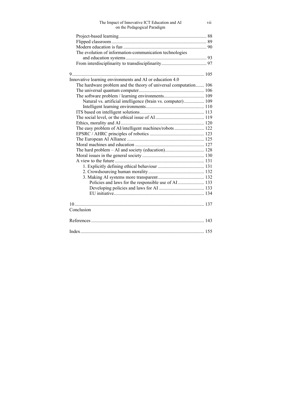| The Impact of Innovative ICT Education and AI<br>on the Pedagogical Paradigm | vii |
|------------------------------------------------------------------------------|-----|
|                                                                              |     |
|                                                                              |     |
|                                                                              |     |
| The evolution of information-communication technologies                      |     |
|                                                                              |     |
|                                                                              |     |
|                                                                              |     |
| Innovative learning environments and AI or education 4.0                     |     |
| The hardware problem and the theory of universal computation 106             |     |
|                                                                              |     |
|                                                                              |     |
| Natural vs. artificial intelligence (brain vs. computer) 109                 |     |
|                                                                              |     |
|                                                                              |     |
|                                                                              |     |
|                                                                              |     |
| The easy problem of AI/intelligent machines/robots 122                       |     |
|                                                                              |     |
|                                                                              |     |
|                                                                              |     |
|                                                                              |     |
|                                                                              |     |
|                                                                              |     |
|                                                                              |     |
|                                                                              |     |
|                                                                              |     |
| Policies and laws for the responsible use of AI  133                         |     |
|                                                                              |     |
|                                                                              |     |
| Conclusion                                                                   |     |
|                                                                              |     |
|                                                                              |     |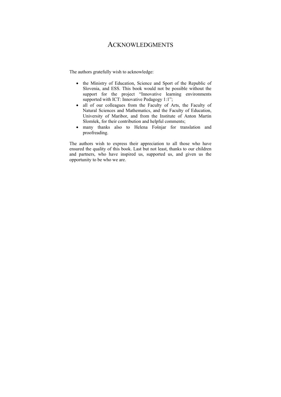### ACKNOWLEDGMENTS

The authors gratefully wish to acknowledge:

- the Ministry of Education, Science and Sport of the Republic of Slovenia, and ESS. This book would not be possible without the support for the project "Innovative learning environments supported with ICT: Innovative Pedagogy 1:1";
- all of our colleagues from the Faculty of Arts, the Faculty of Natural Sciences and Mathematics, and the Faculty of Education, University of Maribor, and from the Institute of Anton Martin Slomšek, for their contribution and helpful comments;
- many thanks also to Helena Fošnjar for translation and proofreading.

The authors wish to express their appreciation to all those who have ensured the quality of this book. Last but not least, thanks to our children and partners, who have inspired us, supported us, and given us the opportunity to be who we are.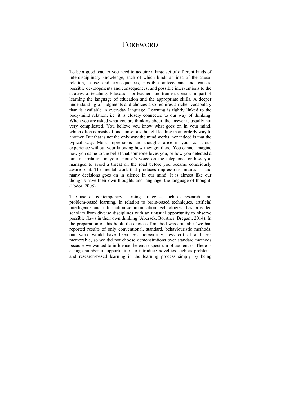### **FOREWORD**

To be a good teacher you need to acquire a large set of different kinds of interdisciplinary knowledge, each of which binds an idea of the causal relation, cause and consequences, possible antecedents and causes, possible developments and consequences, and possible interventions to the strategy of teaching. Education for teachers and trainers consists in part of learning the language of education and the appropriate skills. A deeper understanding of judgments and choices also requires a richer vocabulary than is available in everyday language. Learning is tightly linked to the body-mind relation, i.e. it is closely connected to our way of thinking. When you are asked what you are thinking about, the answer is usually not very complicated. You believe you know what goes on in your mind, which often consists of one conscious thought leading in an orderly way to another. But that is not the only way the mind works, nor indeed is that the typical way. Most impressions and thoughts arise in your conscious experience without your knowing how they got there. You cannot imagine how you came to the belief that someone loves you, or how you detected a hint of irritation in your spouse's voice on the telephone, or how you managed to avoid a threat on the road before you became consciously aware of it. The mental work that produces impressions, intuitions, and many decisions goes on in silence in our mind. It is almost like our thoughts have their own thoughts and language, the language of thought. (Fodor, 2008).

The use of contemporary learning strategies, such as research- and problem-based learning, in relation to brain-based techniques, artificial intelligence and information-communication technologies, has provided scholars from diverse disciplines with an unusual opportunity to observe possible flaws in their own thinking (Aberšek, Borstner, Bregant, 2014). In the preparation of this book, the choice of method was crucial: if we had reported results of only conventional, standard, behaviouristic methods, our work would have been less noteworthy, less critical and less memorable, so we did not choose demonstrations over standard methods because we wanted to influence the entire spectrum of audiences. There is a huge number of opportunities to introduce novelties such as problemand research-based learning in the learning process simply by being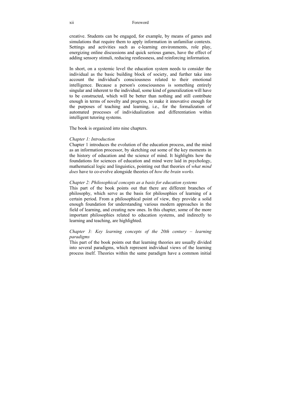#### xii Foreword

creative. Students can be engaged, for example, by means of games and simulations that require them to apply information in unfamiliar contexts. Settings and activities such as e-learning environments, role play, energizing online discussions and quick serious games, have the effect of adding sensory stimuli, reducing restlessness, and reinforcing information.

In short, on a systemic level the education system needs to consider the individual as the basic building block of society, and further take into account the individual's consciousness related to their emotional intelligence. Because a person's consciousness is something entirely singular and inherent to the individual, some kind of generalization will have to be constructed, which will be better than nothing and still contribute enough in terms of novelty and progress, to make it innovative enough for the purposes of teaching and learning, i.e., for the formalization of automated processes of individualization and differentiation within intelligent tutoring systems.

The book is organized into nine chapters.

### *Chapter 1: Introduction*

Chapter 1 introduces the evolution of the education process, and the mind as an information processor, by sketching out some of the key moments in the history of education and the science of mind. It highlights how the foundations for sciences of education and mind were laid in psychology, mathematical logic and linguistics, pointing out that theories of *what mind does* have to co-evolve alongside theories of *how the brain works.*

### *Chapter 2: Philosophical concepts as a basis for education systems*

This part of the book points out that there are different branches of philosophy, which serve as the basis for philosophies of learning of a certain period. From a philosophical point of view, they provide a solid enough foundation for understanding various modern approaches in the field of learning, and creating new ones. In this chapter, some of the more important philosophies related to education systems, and indirectly to learning and teaching, are highlighted.

### *Chapter 3: Key learning concepts of the 20th century – learning paradigms*

This part of the book points out that learning theories are usually divided into several paradigms, which represent individual views of the learning process itself. Theories within the same paradigm have a common initial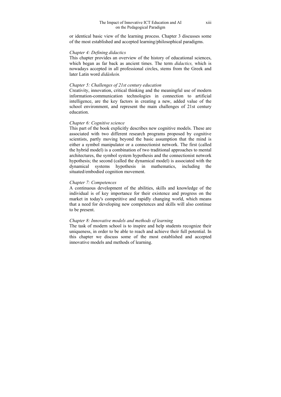or identical basic view of the learning process. Chapter 3 discusses some of the most established and accepted learning/philosophical paradigms.

### *Chapter 4: Defining didactics*

This chapter provides an overview of the history of educational sciences, which began as far back as ancient times. The term *didactics,* which is nowadays accepted in all professional circles, stems from the Greek and later Latin word *didáskein.* 

### *Chapter 5: Challenges of 21st century education*

Creativity, innovation, critical thinking and the meaningful use of modern information-communication technologies in connection to artificial intelligence, are the key factors in creating a new, added value of the school environment, and represent the main challenges of 21st century education.

### *Chapter 6: Cognitive science*

This part of the book explicitly describes new cognitive models. These are associated with two different research programs proposed by cognitive scientists, partly moving beyond the basic assumption that the mind is either a symbol manipulator or a connectionist network. The first (called the hybrid model) is a combination of two traditional approaches to mental architectures, the symbol system hypothesis and the connectionist network hypothesis; the second (called the dynamical model) is associated with the dynamical systems hypothesis in mathematics, including the situated/embodied cognition movement.

### *Chapter 7: Competences*

A continuous development of the abilities, skills and knowledge of the individual is of key importance for their existence and progress on the market in today's competitive and rapidly changing world, which means that a need for developing new competences and skills will also continue to be present.

### *Chapter 8: Innovative models and methods of learning*

The task of modern school is to inspire and help students recognize their uniqueness, in order to be able to reach and achieve their full potential. In this chapter we discuss some of the most established and accepted innovative models and methods of learning.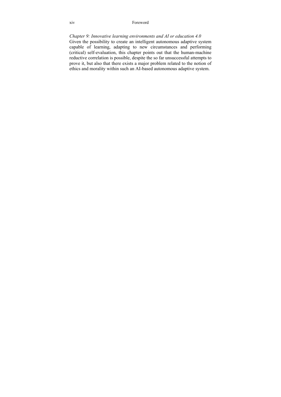#### xiv Foreword

*Chapter 9: Innovative learning environments and AI or education 4.0*  Given the possibility to create an intelligent autonomous adaptive system capable of learning, adapting to new circumstances and performing (critical) self-evaluation, this chapter points out that the human-machine reductive correlation is possible, despite the so far unsuccessful attempts to prove it, but also that there exists a major problem related to the notion of ethics and morality within such an AI-based autonomous adaptive system.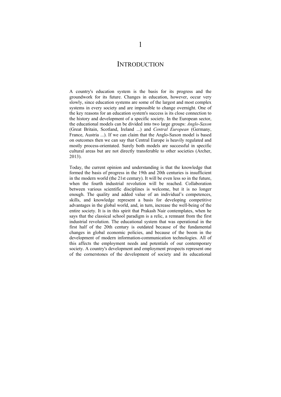### **INTRODUCTION**

A country's education system is the basis for its progress and the groundwork for its future. Changes in education, however, occur very slowly, since education systems are some of the largest and most complex systems in every society and are impossible to change overnight. One of the key reasons for an education system's success is its close connection to the history and development of a specific society. In the European sector, the educational models can be divided into two large groups: *Anglo-Saxon* (Great Britain, Scotland, Ireland ...) and *Central European* (Germany, France, Austria ...). If we can claim that the Anglo-Saxon model is based on outcomes then we can say that Central Europe is heavily regulated and mostly process-orientated. Surely both models are successful in specific cultural areas but are not directly transferable to other societies (Archer, 2013).

Today, the current opinion and understanding is that the knowledge that formed the basis of progress in the 19th and 20th centuries is insufficient in the modern world (the 21st century). It will be even less so in the future, when the fourth industrial revolution will be reached. Collaboration between various scientific disciplines is welcome, but it is no longer enough. The quality and added value of an individual's competences, skills, and knowledge represent a basis for developing competitive advantages in the global world, and, in turn, increase the well-being of the entire society. It is in this spirit that Prakash Nair contemplates, when he says that the classical school paradigm is a relic, a remnant from the first industrial revolution. The educational system that was operational in the first half of the 20th century is outdated because of the fundamental changes in global economic policies, and because of the boom in the development of modern information-communication technologies. All of this affects the employment needs and potentials of our contemporary society. A country's development and employment prospects represent one of the cornerstones of the development of society and its educational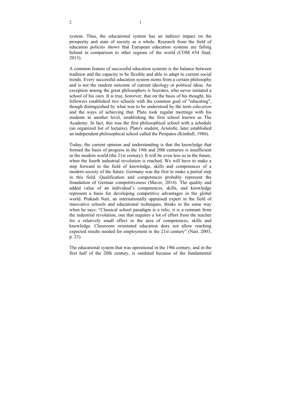system. Thus, the educational system has an indirect impact on the prosperity and state of society as a whole. Research from the field of education policies shows that European education systems are falling behind in comparison to other regions of the world (COM 654 final, 2013).

A common feature of successful education systems is the balance between tradition and the capacity to be flexible and able to adapt to current social trends. Every successful education system stems from a certain philosophy and is not the random outcome of current ideology or political ideas. An exception among the great philosophers is Socrates, who never initiated a school of his own. It is true, however, that on the basis of his thought, his followers established two schools with the common goal of "educating", though distinguished by what was to be understood by the term *education* and the ways of achieving that. Plato took regular meetings with his students to another level, establishing the first school known as The Academy. In fact, this was the first philosophical school with a schedule (an organized list of lectures). Plato's student, Aristotle, later established an independent philosophical school called the Peripatos (Kimball, 1986).

Today, the current opinion and understanding is that the knowledge that formed the basis of progress in the 19th and 20th centuries is insufficient in the modern world (the 21st century). It will be even less so in the future, when the fourth industrial revolution is reached. We will have to make a step forward in the field of knowledge, skills and competences of a modern society of the future. Germany was the first to make a partial step in this field. Qualification and competences probably represent the foundation of German competitiveness (Maver, 2014). The quality and added value of an individual's competences, skills, and knowledge represent a basis for developing competitive advantages in the global world. Prakash Nair, an internationally appraised expert in the field of innovative schools and educational techniques, thinks in the same way when he says: "Classical school paradigm is a relic; it is a remnant from the industrial revolution, one that requires a lot of effort from the teacher for a relatively small effect in the area of competences, skills and knowledge. Classroom orientated education does not allow reaching expected results needed for employment in the 21st century" (Nair, 2003, p. 23).

The educational system that was operational in the 19th century, and in the first half of the 20th century, is outdated because of the fundamental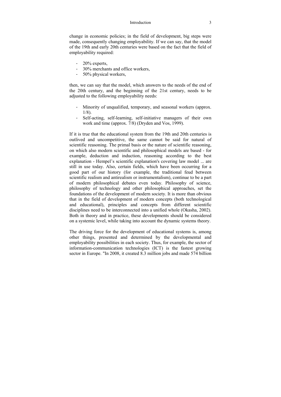#### Introduction 3

change in economic policies; in the field of development, big steps were made, consequently changing employability. If we can say, that the model of the 19th and early 20th centuries were based on the fact that the field of employability required:

- 20% experts,
- 30% merchants and office workers,
- 50% physical workers,

then, we can say that the model, which answers to the needs of the end of the 20th century, and the beginning of the 21st century, needs to be adjusted to the following employability needs:

- Minority of unqualified, temporary, and seasonal workers (approx. 1/8).
- Self-acting, self-learning, self-initiative managers of their own work and time (approx. 7/8) (Dryden and Vos, 1999).

If it is true that the educational system from the 19th and 20th centuries is outlived and uncompetitive, the same cannot be said for natural of scientific reasoning. The primal basis or the nature of scientific reasoning, on which also modern scientific and philosophical models are based - for example, deduction and induction, reasoning according to the best explanation - Hempel's scientific explanation's covering law model ... are still in use today. Also, certain fields, which have been occurring for a good part of our history (for example, the traditional feud between scientific realism and antirealism or instrumentalism), continue to be a part of modern philosophical debates even today. Philosophy of science, philosophy of technology and other philosophical approaches, set the foundations of the development of modern society. It is more than obvious that in the field of development of modern concepts (both technological and educational), principles and concepts from different scientific disciplines need to be interconnected into a unified whole (Okasha, 2002). Both in theory and in practice, these developments should be considered on a systemic level, while taking into account the dynamic systems theory.

The driving force for the development of educational systems is, among other things, presented and determined by the developmental and employability possibilities in each society. Thus, for example, the sector of information-communication technologies (ICT) is the fastest growing sector in Europe. "In 2008, it created 8.3 million jobs and made 574 billion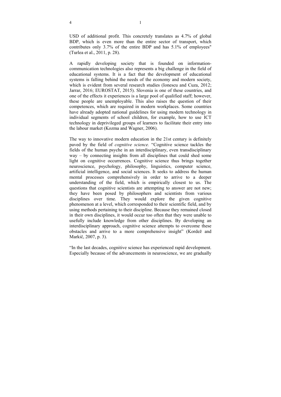USD of additional profit. This concretely translates as 4.7% of global BDP, which is even more than the entire sector of transport, which contributes only 3.7% of the entire BDP and has 5.1% of employees" (Turlea et al., 2011, p. 28).

A rapidly developing society that is founded on informationcommunication technologies also represents a big challenge in the field of educational systems. It is a fact that the development of educational systems is falling behind the needs of the economy and modern society, which is evident from several research studies (Ionescu and Cuza, 2012; Jarrar, 2016; EUROSTAT, 2015). Slovenia is one of these countries, and one of the effects it experiences is a large pool of qualified staff; however, these people are unemployable. This also raises the question of their competences, which are required in modern workplaces. Some countries have already adopted national guidelines for using modern technology in individual segments of school children, for example, how to use ICT technology in deprivileged groups of learners to facilitate their entry into the labour market (Kozma and Wagner, 2006).

The way to innovative modern education in the 21st century is definitely paved by the field of *cognitive science.* "Cognitive science tackles the fields of the human psyche in an interdisciplinary, even transdisciplinary way – by connecting insights from all disciplines that could shed some light on cognitive occurrences. Cognitive science thus brings together neuroscience, psychology, philosophy, linguistics, computer science, artificial intelligence, and social sciences. It seeks to address the human mental processes comprehensively in order to arrive to a deeper understanding of the field, which is empirically closest to us. The questions that cognitive scientists are attempting to answer are not new; they have been posed by philosophers and scientists from various disciplines over time. They would explore the given cognitive phenomenon at a level, which corresponded to their scientific field, and by using methods pertaining to their discipline. Because they remained closed in their own disciplines, it would occur too often that they were unable to usefully include knowledge from other disciplines. By developing an interdisciplinary approach, cognitive science attempts to overcome these obstacles and arrive to a more comprehensive insight" (Kordež and Markič, 2007, p. 3).

"In the last decades, cognitive science has experienced rapid development. Especially because of the advancements in neuroscience, we are gradually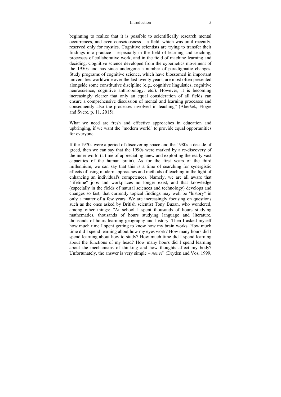#### Introduction 5

beginning to realize that it is possible to scientifically research mental occurrences, and even consciousness – a field, which was until recently, reserved only for mystics. Cognitive scientists are trying to transfer their findings into practice – especially in the field of learning and teaching, processes of collaborative work, and in the field of machine learning and deciding. Cognitive science developed from the cybernetics movement of the 1950s and has since undergone a number of paradigmatic changes. Study programs of cognitive science, which have blossomed in important universities worldwide over the last twenty years, are most often presented alongside some constitutive discipline (e.g., cognitive linguistics, cognitive neuroscience, cognitive anthropology, etc.). However, it is becoming increasingly clearer that only an equal consideration of all fields can ensure a comprehensive discussion of mental and learning processes and consequently also the processes involved in teaching" (Aberšek, Flogie and Šverc, p. 11, 2015).

What we need are fresh and effective approaches in education and upbringing, if we want the "modern world" to provide equal opportunities for everyone.

If the 1970s were a period of discovering space and the 1980s a decade of greed, then we can say that the 1990s were marked by a re-discovery of the inner world (a time of appreciating anew and exploiting the really vast capacities of the human brain). As for the first years of the third millennium, we can say that this is a time of searching for synergistic effects of using modern approaches and methods of teaching in the light of enhancing an individual's competences. Namely, we are all aware that "lifetime" jobs and workplaces no longer exist, and that knowledge (especially in the fields of natural sciences and technology) develops and changes so fast, that currently topical findings may well be "history" in only a matter of a few years. We are increasingly focusing on questions such as the ones asked by British scientist Tony Buzan, who wondered, among other things: "At school I spent thousands of hours studying mathematics, thousands of hours studying language and literature, thousands of hours learning geography and history. Then I asked myself how much time I spent getting to know how my brain works. How much time did I spend learning about how my eyes work? How many hours did I spend learning about how to study? How much time did I spend learning about the functions of my head? How many hours did I spend learning about the mechanisms of thinking and how thoughts affect my body? Unfortunately, the answer is very simple – *none!*" (Dryden and Vos, 1999,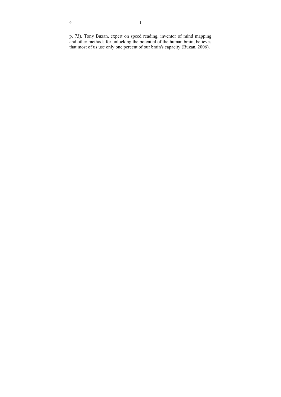p. 73)*.* Tony Buzan, expert on speed reading, inventor of mind mapping and other methods for unlocking the potential of the human brain, believes that most of us use only one percent of our brain's capacity (Buzan, 2006).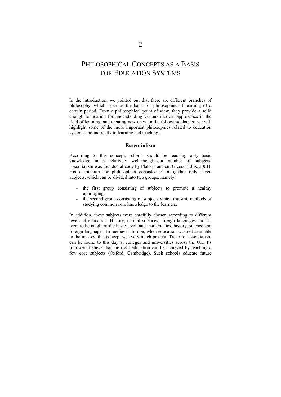### PHILOSOPHICAL CONCEPTS AS A BASIS FOR EDUCATION SYSTEMS

In the introduction, we pointed out that there are different branches of philosophy, which serve as the basis for philosophies of learning of a certain period. From a philosophical point of view, they provide a solid enough foundation for understanding various modern approaches in the field of learning, and creating new ones. In the following chapter, we will highlight some of the more important philosophies related to education systems and indirectly to learning and teaching.

### **Essentialism**

According to this concept, schools should be teaching only basic knowledge in a relatively well-thought-out number of subjects. Essentialism was founded already by Plato in ancient Greece (Ellis, 2001). His curriculum for philosophers consisted of altogether only seven subjects, which can be divided into two groups, namely:

- the first group consisting of subjects to promote a healthy upbringing,
- the second group consisting of subjects which transmit methods of studying common core knowledge to the learners.

In addition, these subjects were carefully chosen according to different levels of education. History, natural sciences, foreign languages and art were to be taught at the basic level, and mathematics, history, science and foreign languages. In medieval Europe, when education was not available to the masses, this concept was very much present. Traces of essentialism can be found to this day at colleges and universities across the UK. Its followers believe that the right education can be achieved by teaching a few core subjects (Oxford, Cambridge). Such schools educate future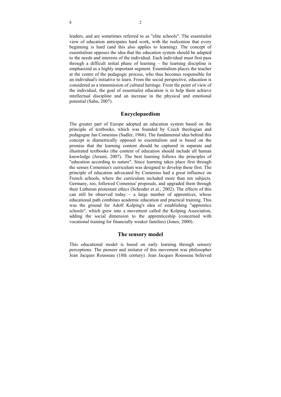leaders, and are sometimes referred to as "elite schools". The essentialist view of education anticipates hard work, with the realization that every beginning is hard (and this also applies to learning). The concept of essentialism opposes the idea that the education system should be adapted to the needs and interests of the individual. Each individual must first pass through a difficult initial phase of learning – the learning discipline is emphasized as a highly important segment. Essentialism places the teacher at the centre of the pedagogic process, who thus becomes responsible for an individual's initiative to learn. From the social perspective, education is considered as a transmission of cultural heritage. From the point of view of the individual, the goal of essentialist education is to help them achieve intellectual discipline and an increase in the physical and emotional potential (Sahu, 2007).

### **Encyclopaedism**

The greater part of Europe adopted an education system based on the principle of textbooks, which was founded by Czech theologian and pedagogue Jan Comenius (Sadler, 1966). The fundamental idea behind this concept is diametrically opposed to essentialism and is based on the premise that the learning content should be captured in separate and illustrated textbooks (the content of education should include all human knowledge (Jerami, 2007). The best learning follows the principles of "education according to nature". Since learning takes place first through the senses Comenius's curriculum was designed to develop these first. The principle of education advocated by Comenius had a great influence on French schools, where the curriculum included more than ten subjects. Germany, too, followed Comenius' proposals, and upgraded them through their Lutheran protestant ethics (Schroder et al., 2002). The effects of this can still be observed today – a large number of apprentices, whose educational path combines academic education and practical training. This was the ground for Adolf Kolping's idea of establishing "apprentice schools", which grew into a movement called the Kolping Association, adding the social dimension to the apprenticeship (concerned with vocational training for financially weaker families) (Jones, 2000).

### **The sensory model**

This educational model is based on early learning through sensory perceptions. The pioneer and initiator of this movement was philosopher Jean Jacques Rousseau (18th century). Jean Jacques Rousseau believed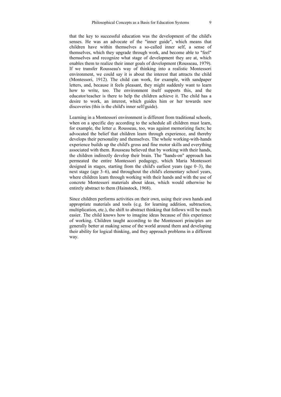that the key to successful education was the development of the child's senses. He was an advocate of the "inner guide", which means that children have within themselves a so-called inner self, a sense of themselves, which they upgrade through work, and become able to "feel" themselves and recognize what stage of development they are at, which enables them to realize their inner goals of development (Rousseau, 1979). If we transfer Rousseau's way of thinking into a realistic Montessori environment, we could say it is about the interest that attracts the child (Montessori, 1912). The child can work, for example, with sandpaper letters, and, because it feels pleasant, they might suddenly want to learn how to write, too. The environment itself supports this, and the educator/teacher is there to help the children achieve it. The child has a desire to work, an interest, which guides him or her towards new discoveries (this is the child's inner self/guide).

Learning in a Montessori environment is different from traditional schools, when on a specific day according to the schedule all children must learn, for example, the letter *a.* Rousseau, too, was against memorizing facts; he advocated the belief that children learn through experience, and thereby develops their personality and themselves. The whole working-with-hands experience builds up the child's gross and fine motor skills and everything associated with them. Rousseau believed that by working with their hands, the children indirectly develop their brain. The "hands-on" approach has permeated the entire Montessori pedagogy, which Maria Montessori designed in stages, starting from the child's earliest years (age 0–3), the next stage (age 3–6), and throughout the child's elementary school years, where children learn through working with their hands and with the use of concrete Montessori materials about ideas, which would otherwise be entirely abstract to them (Hainstock, 1968).

Since children performs activities on their own, using their own hands and appropriate materials and tools (e.g. for learning addition, subtraction, multiplication, etc.), the shift to abstract thinking that follows will be much easier. The child knows how to imagine ideas because of this experience of working. Children taught according to the Montessori principles are generally better at making sense of the world around them and developing their ability for logical thinking, and they approach problems in a different way.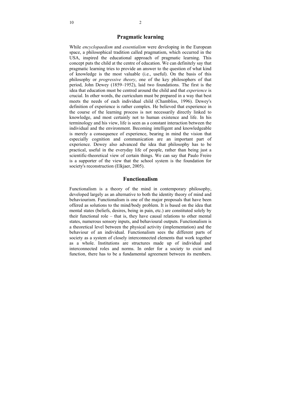### **Pragmatic learning**

While *encyclopaedism* and *essentialism* were developing in the European space, a philosophical tradition called pragmatism, which occurred in the USA, inspired the educational approach of pragmatic learning. This concept puts the child at the centre of education. We can definitely say that pragmatic learning tries to provide an answer to the question of what kind of knowledge is the most valuable (i.e., useful). On the basis of this philosophy or *progressive theory*, one of the key philosophers of that period, John Dewey (1859–1952), laid two foundations. The first is the idea that education must be centred around the child and that *experience* is crucial. In other words, the curriculum must be prepared in a way that best meets the needs of each individual child (Chambliss, 1996). Dewey's definition of experience is rather complex. He believed that experience in the course of the learning process is not necessarily directly linked to knowledge, and most certainly not to human existence and life. In his terminology and his view, life is seen as a constant interaction between the individual and the environment. Becoming intelligent and knowledgeable is merely a consequence of experience, bearing in mind the vision that especially cognition and communication are an important part of experience. Dewey also advanced the idea that philosophy has to be practical, useful in the everyday life of people, rather than being just a scientific-theoretical view of certain things. We can say that Paulo Freire is a supporter of the view that the school system is the foundation for society's reconstruction (Elkjaer, 2005).

### **Functionalism**

Functionalism is a theory of the mind in contemporary philosophy, developed largely as an alternative to both the identity theory of mind and behaviourism. Functionalism is one of the major proposals that have been offered as solutions to the mind/body problem. It is based on the idea that mental states (beliefs, desires, being in pain, etc.) are constituted solely by their functional role – that is, they have causal relations to other mental states, numerous sensory inputs, and behavioural outputs. Functionalism is a theoretical level between the physical activity (implementation) and the behaviour of an individual. Functionalism sees the different parts of society as a system of closely interconnected elements that work together as a whole. Institutions are structures made up of individual and interconnected roles and norms. In order for a society to exist and function, there has to be a fundamental agreement between its members.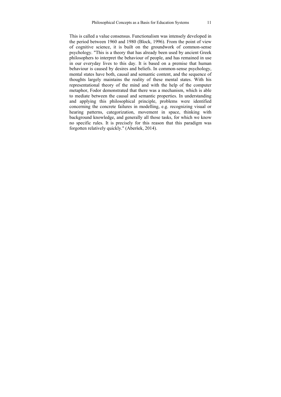This is called a value consensus. Functionalism was intensely developed in the period between 1960 and 1980 (Block, 1996). From the point of view of cognitive science, it is built on the groundwork of common-sense psychology. "This is a theory that has already been used by ancient Greek philosophers to interpret the behaviour of people, and has remained in use in our everyday lives to this day. It is based on a premise that human behaviour is caused by desires and beliefs. In common-sense psychology, mental states have both, causal and semantic content, and the sequence of thoughts largely maintains the reality of these mental states. With his representational theory of the mind and with the help of the computer metaphor, Fodor demonstrated that there was a mechanism, which is able to mediate between the causal and semantic properties. In understanding and applying this philosophical principle, problems were identified concerning the concrete failures in modelling, e.g. recognizing visual or hearing patterns, categorization, movement in space, thinking with background knowledge, and generally all those tasks, for which we know no specific rules. It is precisely for this reason that this paradigm was forgotten relatively quickly." (Aberšek, 2014).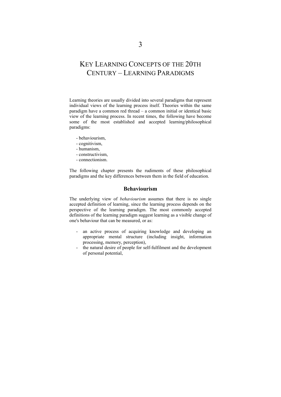### KEY LEARNING CONCEPTS OF THE 20TH CENTURY – LEARNING PARADIGMS

Learning theories are usually divided into several paradigms that represent individual views of the learning process itself. Theories within the same paradigm have a common red thread – a common initial or identical basic view of the learning process. In recent times, the following have become some of the most established and accepted learning/philosophical paradigms:

- behaviourism,
- cognitivism,
- humanism,
- constructivism,
- connectionism.

The following chapter presents the rudiments of these philosophical paradigms and the key differences between them in the field of education.

### **Behaviourism**

The underlying view of *behaviourism* assumes that there is no single accepted definition of learning, since the learning process depends on the perspective of the learning paradigm. The most commonly accepted definitions of the learning paradigm suggest learning as a visible change of one's behaviour that can be measured, or as:

- an active process of acquiring knowledge and developing an appropriate mental structure (including insight, information processing, memory, perception),
- the natural desire of people for self-fulfilment and the development of personal potential,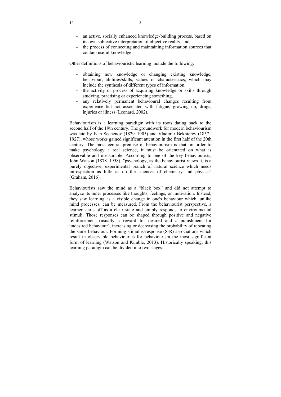- an active, socially enhanced knowledge-building process, based on its own subjective interpretation of objective reality, and
- the process of connecting and maintaining information sources that contain useful knowledge.

Other definitions of behaviouristic learning include the following:

- obtaining new knowledge or changing existing knowledge, behaviour, abilities/skills, values or characteristics, which may include the synthesis of different types of information,
- the activity or process of acquiring knowledge or skills through studying, practising or experiencing something,
- any relatively permanent behavioural changes resulting from experience but not associated with fatigue, growing up, drugs, injuries or illness (Leonard, 2002).

Behaviourism is a learning paradigm with its roots dating back to the second half of the 19th century. The groundwork for modern behaviourism was laid by Ivan Sechenov (1829–1905) and Vladimir Bekhterev (1857– 1927), whose works gained significant attention in the first half of the 20th century. The most central premise of behaviourism is that, in order to make psychology a real science, it must be orientated on what is observable and measurable. According to one of the key behaviourists, John Watson (1878–1958), "psychology, as the behaviourist views it, is a purely objective, experimental branch of natural science which needs introspection as little as do the sciences of chemistry and physics" (Graham, 2016).

Behaviourists saw the mind as a "black box" and did not attempt to analyze its inner processes like thoughts, feelings, or motivation. Instead, they saw learning as a visible change in one's behaviour which, unlike mind processes, can be measured. From the behaviourist perspective, a learner starts off as a clear state and simply responds to environmental stimuli. Those responses can be shaped through positive and negative reinforcement (usually a reward for desired and a punishment for undesired behaviour), increasing or decreasing the probability of repeating the same behaviour. Forming stimulus-response (S-R) associations which result in observable behaviour is for behaviourism the most significant form of learning (Watson and Kimble, 2013). Historically speaking, this learning paradigm can be divided into two stages: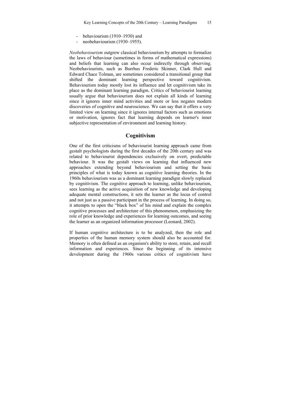- behaviourism (1910–1930) and
- neobehaviourism (1930–1955).

*Neobehaviourism* outgrew classical behaviourism by attempts to formalize the laws of behaviour (sometimes in forms of mathematical expressions) and beliefs that learning can also occur indirectly through observing. Neobehaviourists, such as Burrhus Frederic Skinner, Clark Hull and Edward Chace Tolman, are sometimes considered a transitional group that shifted the dominant learning perspective toward cognitivism. Behaviourism today mostly lost its influence and let cognitivism take its place as the dominant learning paradigm. Critics of behaviourist learning usually argue that behaviourism does not explain all kinds of learning since it ignores inner mind activities and more or less negates modern discoveries of cognitive and neuroscience. We can say that it offers a very limited view on learning since it ignores internal factors such as emotions or motivation, ignores fact that learning depends on learner's inner subjective representation of environment and learning history.

### **Cognitivism**

One of the first criticisms of behaviourist learning approach came from gestalt psychologists during the first decades of the 20th century and was related to behaviourist dependencies exclusively on overt, predictable behaviour. It was the gestalt views on learning that influenced new approaches extending beyond behaviourism and setting the basic principles of what is today known as cognitive learning theories. In the 1960s behaviourism was as a dominant learning paradigm slowly replaced by cognitivism. The cognitive approach to learning, unlike behaviourism, sees learning as the active acquisition of new knowledge and developing adequate mental constructions, it sets the learner as the locus of control and not just as a passive participant in the process of learning. In doing so, it attempts to open the "black box" of his mind and explain the complex cognitive processes and architecture of this phenomenon, emphasizing the role of prior knowledge and experiences for learning outcomes, and seeing the learner as an organized information processor (Leonard, 2002).

If human cognitive architecture is to be analyzed, then the role and properties of the human memory system should also be accounted for. Memory is often defined as an organism's ability to store, retain, and recall information and experiences. Since the beginning of its intensive development during the 1960s various critics of cognitivism have